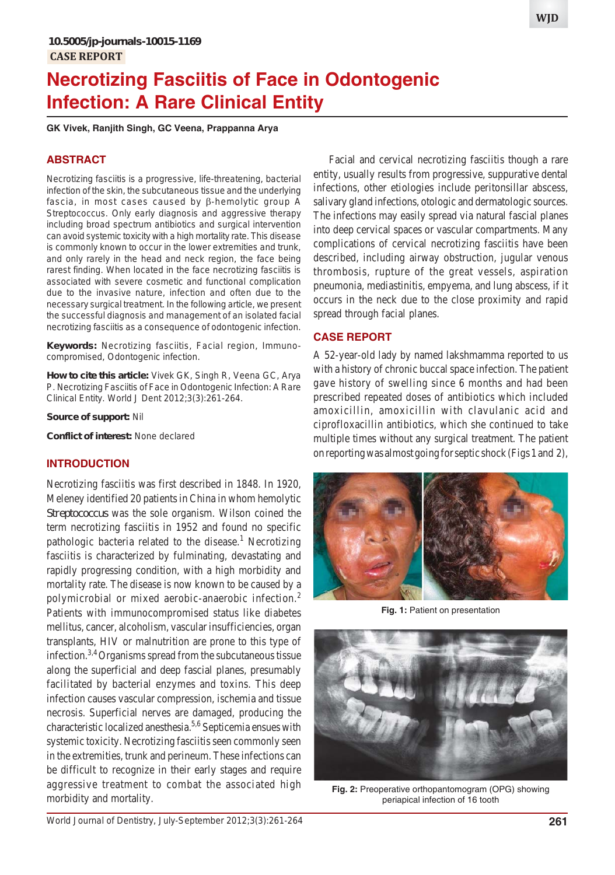# **Necrotizing Fasciitis of Face in Odontogenic Infection: A Rare Clinical Entity**

**GK Vivek, Ranjith Singh, GC Veena, Prappanna Arya**

#### **ABSTRACT**

Necrotizing fasciitis is a progressive, life-threatening, bacterial infection of the skin, the subcutaneous tissue and the underlying fascia, in most cases caused by  $\beta$ -hemolytic group A *Streptococcus*. Only early diagnosis and aggressive therapy including broad spectrum antibiotics and surgical intervention can avoid systemic toxicity with a high mortality rate. This disease is commonly known to occur in the lower extremities and trunk, and only rarely in the head and neck region, the face being rarest finding. When located in the face necrotizing fasciitis is associated with severe cosmetic and functional complication due to the invasive nature, infection and often due to the necessary surgical treatment. In the following article, we present the successful diagnosis and management of an isolated facial necrotizing fasciitis as a consequence of odontogenic infection.

**Keywords:** Necrotizing fasciitis, Facial region, Immunocompromised, Odontogenic infection.

**How to cite this article:** Vivek GK, Singh R, Veena GC, Arya P. Necrotizing Fasciitis of Face in Odontogenic Infection: A Rare Clinical Entity. World J Dent 2012;3(3):261-264.

**Source of support:** Nil

**Conflict of interest:** None declared

#### **INTRODUCTION**

Necrotizing fasciitis was first described in 1848. In 1920, Meleney identified 20 patients in China in whom hemolytic *Streptococcus* was the sole organism. Wilson coined the term necrotizing fasciitis in 1952 and found no specific pathologic bacteria related to the disease.<sup>1</sup> Necrotizing fasciitis is characterized by fulminating, devastating and rapidly progressing condition, with a high morbidity and mortality rate. The disease is now known to be caused by a polymicrobial or mixed aerobic-anaerobic infection.<sup>2</sup> Patients with immunocompromised status like diabetes mellitus, cancer, alcoholism, vascular insufficiencies, organ transplants, HIV or malnutrition are prone to this type of infection.3,4 Organisms spread from the subcutaneous tissue along the superficial and deep fascial planes, presumably facilitated by bacterial enzymes and toxins. This deep infection causes vascular compression, ischemia and tissue necrosis. Superficial nerves are damaged, producing the characteristic localized anesthesia.5,6 Septicemia ensues with systemic toxicity. Necrotizing fasciitis seen commonly seen in the extremities, trunk and perineum. These infections can be difficult to recognize in their early stages and require aggressive treatment to combat the associated high morbidity and mortality.

Facial and cervical necrotizing fasciitis though a rare entity, usually results from progressive, suppurative dental infections, other etiologies include peritonsillar abscess, salivary gland infections, otologic and dermatologic sources. The infections may easily spread via natural fascial planes into deep cervical spaces or vascular compartments. Many complications of cervical necrotizing fasciitis have been described, including airway obstruction, jugular venous thrombosis, rupture of the great vessels, aspiration pneumonia, mediastinitis, empyema, and lung abscess, if it occurs in the neck due to the close proximity and rapid spread through facial planes.

## **CASE REPORT**

A 52-year-old lady by named lakshmamma reported to us with a history of chronic buccal space infection. The patient gave history of swelling since 6 months and had been prescribed repeated doses of antibiotics which included amoxicillin, amoxicillin with clavulanic acid and ciprofloxacillin antibiotics, which she continued to take multiple times without any surgical treatment. The patient on reporting was almost going for septic shock (Figs 1 and 2),



**Fig. 1:** Patient on presentation



**Fig. 2:** Preoperative orthopantomogram (OPG) showing periapical infection of 16 tooth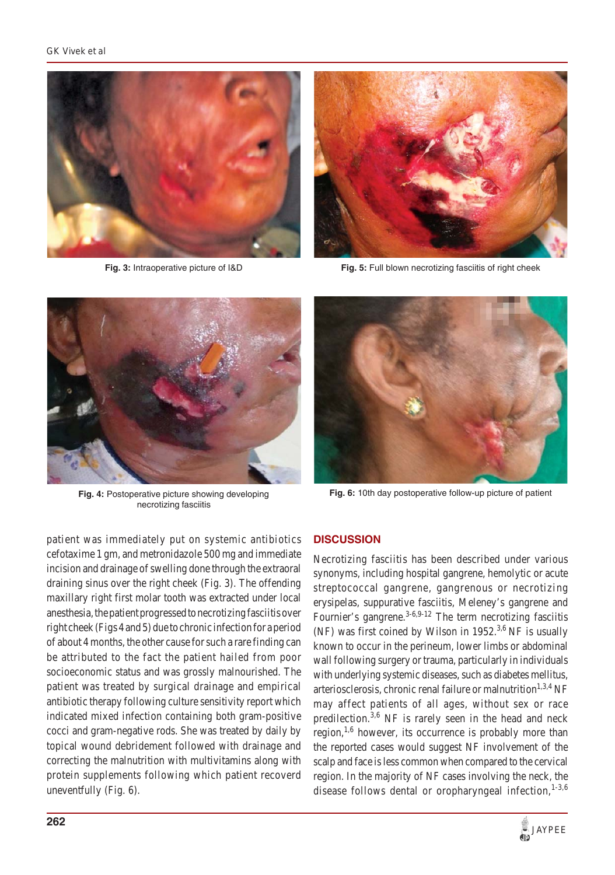

**Fig. 3:** Intraoperative picture of I&D



**Fig. 5:** Full blown necrotizing fasciitis of right cheek



**Fig. 4:** Postoperative picture showing developing necrotizing fasciitis

patient was immediately put on systemic antibiotics cefotaxime 1 gm, and metronidazole 500 mg and immediate incision and drainage of swelling done through the extraoral draining sinus over the right cheek (Fig. 3). The offending maxillary right first molar tooth was extracted under local anesthesia, the patient progressed to necrotizing fasciitis over right cheek (Figs 4 and 5) due to chronic infection for a period of about 4 months, the other cause for such a rare finding can be attributed to the fact the patient hailed from poor socioeconomic status and was grossly malnourished. The patient was treated by surgical drainage and empirical antibiotic therapy following culture sensitivity report which indicated mixed infection containing both gram-positive cocci and gram-negative rods. She was treated by daily by topical wound debridement followed with drainage and correcting the malnutrition with multivitamins along with protein supplements following which patient recoverd uneventfully (Fig. 6).



**Fig. 6:** 10th day postoperative follow-up picture of patient

## **DISCUSSION**

Necrotizing fasciitis has been described under various synonyms, including hospital gangrene, hemolytic or acute streptococcal gangrene, gangrenous or necrotizing erysipelas, suppurative fasciitis, Meleney's gangrene and Fournier's gangrene.<sup>3-6,9-12</sup> The term necrotizing fasciitis (NF) was first coined by Wilson in  $1952<sup>3,6</sup>$  NF is usually known to occur in the perineum, lower limbs or abdominal wall following surgery or trauma, particularly in individuals with underlying systemic diseases, such as diabetes mellitus, arteriosclerosis, chronic renal failure or malnutrition<sup>1,3,4</sup> NF may affect patients of all ages, without sex or race predilection.<sup>3,6</sup> NF is rarely seen in the head and neck region, $1,6$  however, its occurrence is probably more than the reported cases would suggest NF involvement of the scalp and face is less common when compared to the cervical region. In the majority of NF cases involving the neck, the disease follows dental or oropharyngeal infection, $1-3,6$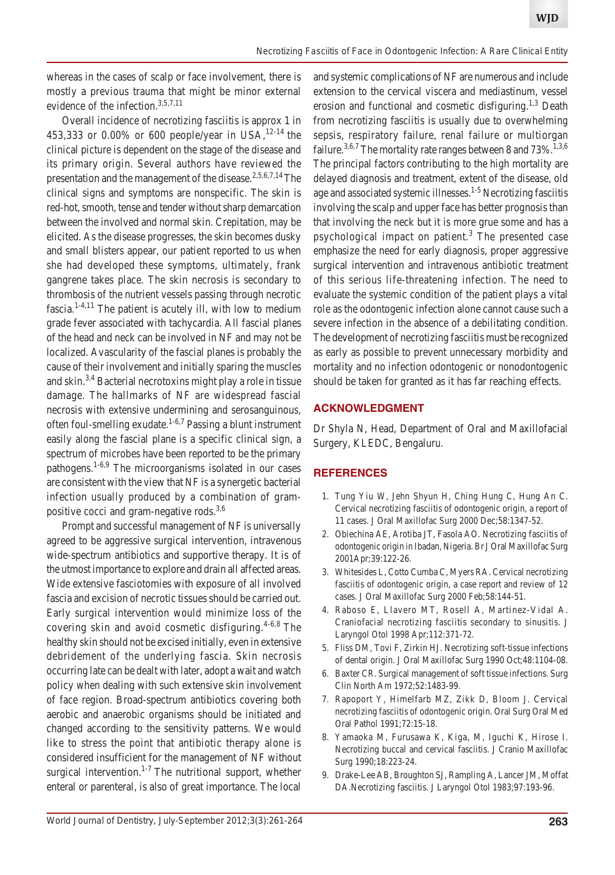whereas in the cases of scalp or face involvement, there is mostly a previous trauma that might be minor external evidence of the infection.<sup>3,5,7,11</sup>

Overall incidence of necrotizing fasciitis is approx 1 in 453,333 or 0.00% or 600 people/year in USA,  $12-14$  the clinical picture is dependent on the stage of the disease and its primary origin. Several authors have reviewed the presentation and the management of the disease.<sup>2,5,6,7,14</sup> The clinical signs and symptoms are nonspecific. The skin is red-hot, smooth, tense and tender without sharp demarcation between the involved and normal skin. Crepitation, may be elicited. As the disease progresses, the skin becomes dusky and small blisters appear, our patient reported to us when she had developed these symptoms, ultimately, frank gangrene takes place. The skin necrosis is secondary to thrombosis of the nutrient vessels passing through necrotic fascia. $1-4,11$  The patient is acutely ill, with low to medium grade fever associated with tachycardia. All fascial planes of the head and neck can be involved in NF and may not be localized. Avascularity of the fascial planes is probably the cause of their involvement and initially sparing the muscles and skin.3,4 Bacterial necrotoxins might play a role in tissue damage. The hallmarks of NF are widespread fascial necrosis with extensive undermining and serosanguinous, often foul-smelling exudate. $1-6,7$  Passing a blunt instrument easily along the fascial plane is a specific clinical sign, a spectrum of microbes have been reported to be the primary pathogens.1-6,9 The microorganisms isolated in our cases are consistent with the view that NF is a synergetic bacterial infection usually produced by a combination of grampositive cocci and gram-negative rods.3,6

Prompt and successful management of NF is universally agreed to be aggressive surgical intervention, intravenous wide-spectrum antibiotics and supportive therapy. It is of the utmost importance to explore and drain all affected areas. Wide extensive fasciotomies with exposure of all involved fascia and excision of necrotic tissues should be carried out. Early surgical intervention would minimize loss of the covering skin and avoid cosmetic disfiguring.<sup>4-6,8</sup> The healthy skin should not be excised initially, even in extensive debridement of the underlying fascia. Skin necrosis occurring late can be dealt with later, adopt a wait and watch policy when dealing with such extensive skin involvement of face region. Broad-spectrum antibiotics covering both aerobic and anaerobic organisms should be initiated and changed according to the sensitivity patterns. We would like to stress the point that antibiotic therapy alone is considered insufficient for the management of NF without surgical intervention.<sup>1-7</sup> The nutritional support, whether enteral or parenteral, is also of great importance. The local

and systemic complications of NF are numerous and include extension to the cervical viscera and mediastinum, vessel erosion and functional and cosmetic disfiguring.<sup>1,3</sup> Death from necrotizing fasciitis is usually due to overwhelming sepsis, respiratory failure, renal failure or multiorgan failure.<sup>3,6,7</sup> The mortality rate ranges between 8 and  $73\%$ .<sup>1,3,6</sup> The principal factors contributing to the high mortality are delayed diagnosis and treatment, extent of the disease, old age and associated systemic illnesses.<sup>1-5</sup> Necrotizing fasciitis involving the scalp and upper face has better prognosis than that involving the neck but it is more grue some and has a psychological impact on patient.<sup>3</sup> The presented case emphasize the need for early diagnosis, proper aggressive surgical intervention and intravenous antibiotic treatment of this serious life-threatening infection. The need to evaluate the systemic condition of the patient plays a vital role as the odontogenic infection alone cannot cause such a severe infection in the absence of a debilitating condition. The development of necrotizing fasciitis must be recognized as early as possible to prevent unnecessary morbidity and mortality and no infection odontogenic or nonodontogenic should be taken for granted as it has far reaching effects.

#### **ACKNOWLEDGMENT**

Dr Shyla N, Head, Department of Oral and Maxillofacial Surgery, KLEDC, Bengaluru.

#### **REFERENCES**

- 1. Tung Yiu W, Jehn Shyun H, Ching Hung C, Hung An C. Cervical necrotizing fasciitis of odontogenic origin, a report of 11 cases. J Oral Maxillofac Surg 2000 Dec;58:1347-52.
- 2. Obiechina AE, Arotiba JT, Fasola AO. Necrotizing fasciitis of odontogenic origin in Ibadan, Nigeria. Br J Oral Maxillofac Surg 2001Apr;39:122-26.
- 3. Whitesides L, Cotto Cumba C, Myers RA. Cervical necrotizing fasciitis of odontogenic origin, a case report and review of 12 cases. J Oral Maxillofac Surg 2000 Feb;58:144-51.
- 4. Raboso E, Llavero MT, Rosell A, Martinez-Vidal A. Craniofacial necrotizing fasciitis secondary to sinusitis. J Laryngol Otol 1998 Apr;112:371-72.
- 5. Fliss DM, Tovi F, Zirkin HJ. Necrotizing soft-tissue infections of dental origin. J Oral Maxillofac Surg 1990 Oct;48:1104-08.
- 6. Baxter CR. Surgical management of soft tissue infections. Surg Clin North Am 1972;52:1483-99.
- 7. Rapoport Y, Himelfarb MZ, Zikk D, Bloom J. Cervical necrotizing fasciitis of odontogenic origin. Oral Surg Oral Med Oral Pathol 1991;72:15-18.
- 8. Yamaoka M, Furusawa K, Kiga, M, Iguchi K, Hirose I. Necrotizing buccal and cervical fasciitis. J Cranio Maxillofac Surg 1990;18:223-24.
- 9. Drake-Lee AB, Broughton SJ, Rampling A, Lancer JM, Moffat DA.Necrotizing fasciitis. J Laryngol Otol 1983;97:193-96.